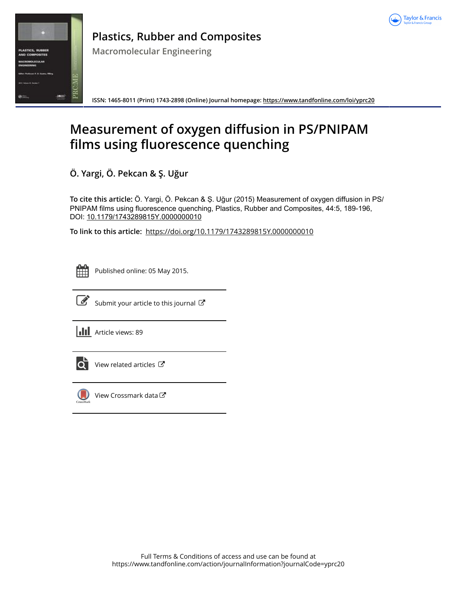



**Plastics, Rubber and Composites**

**Macromolecular Engineering**

**ISSN: 1465-8011 (Print) 1743-2898 (Online) Journal homepage:<https://www.tandfonline.com/loi/yprc20>**

## **Measurement of oxygen diffusion in PS/PNIPAM films using fluorescence quenching**

**Ö. Yargi, Ö. Pekcan & Ş. Uğur**

**To cite this article:** Ö. Yargi, Ö. Pekcan & Ş. Uğur (2015) Measurement of oxygen diffusion in PS/ PNIPAM films using fluorescence quenching, Plastics, Rubber and Composites, 44:5, 189-196, DOI: [10.1179/1743289815Y.0000000010](https://www.tandfonline.com/action/showCitFormats?doi=10.1179/1743289815Y.0000000010)

**To link to this article:** <https://doi.org/10.1179/1743289815Y.0000000010>

Published online: 05 May 2015.



 $\overrightarrow{S}$  [Submit your article to this journal](https://www.tandfonline.com/action/authorSubmission?journalCode=yprc20&show=instructions)  $\overrightarrow{S}$ 

**III** Article views: 89



 $\overline{Q}$  [View related articles](https://www.tandfonline.com/doi/mlt/10.1179/1743289815Y.0000000010)  $\overline{C}$ 



[View Crossmark data](http://crossmark.crossref.org/dialog/?doi=10.1179/1743289815Y.0000000010&domain=pdf&date_stamp=2015-05-05)  $\sigma$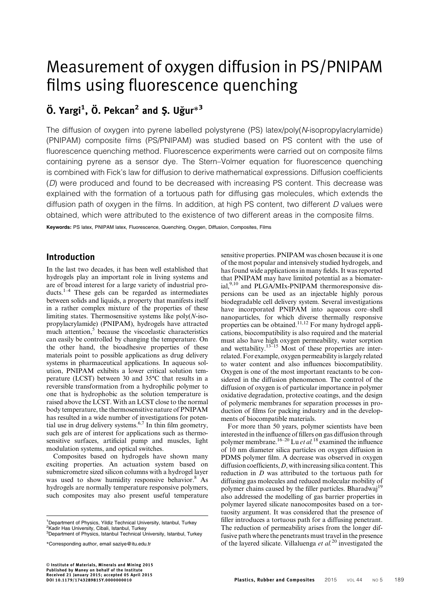# Measurement of oxygen diffusion in PS/PNIPAM films using fluorescence quenching

## $\ddot{\textbf{O}}$ . Yargi<sup>1</sup>,  $\ddot{\textbf{O}}$ . Pekcan<sup>2</sup> and Ş. Uğur $^{*3}$

The diffusion of oxygen into pyrene labelled polystyrene (PS) latex/poly(N-isopropylacrylamide) (PNIPAM) composite films (PS/PNIPAM) was studied based on PS content with the use of fluorescence quenching method. Fluorescence experiments were carried out on composite films containing pyrene as a sensor dye. The Stern–Volmer equation for fluorescence quenching is combined with Fick's law for diffusion to derive mathematical expressions. Diffusion coefficients (D) were produced and found to be decreased with increasing PS content. This decrease was explained with the formation of a tortuous path for diffusing gas molecules, which extends the diffusion path of oxygen in the films. In addition, at high PS content, two different  $D$  values were obtained, which were attributed to the existence of two different areas in the composite films.

Keywords: PS latex, PNIPAM latex, Fluorescence, Quenching, Oxygen, Diffusion, Composites, Films

## Introduction

In the last two decades, it has been well established that hydrogels play an important role in living systems and are of broad interest for a large variety of industrial products.<sup>1–4</sup> These gels can be regarded as intermediates between solids and liquids, a property that manifests itself in a rather complex mixture of the properties of these limiting states. Thermosensitive systems like  $poly(N\text{-}iso$ propylacrylamide) (PNIPAM), hydrogels have attracted much attention, $5$  because the viscoelastic characteristics can easily be controlled by changing the temperature. On the other hand, the bioadhesive properties of these materials point to possible applications as drug delivery systems in pharmaceutical applications. In aqueous solution, PNIPAM exhibits a lower critical solution temperature (LCST) between 30 and  $35^{\circ}$ C that results in a reversible transformation from a hydrophilic polymer to one that is hydrophobic as the solution temperature is raised above the LCST. With an LCST close to the normal body temperature, the thermosensitive nature of PNIPAM has resulted in a wide number of investigations for potential use in drug delivery systems.<sup>6,7</sup> In thin film geometry, such gels are of interest for applications such as thermosensitive surfaces, artificial pump and muscles, light modulation systems, and optical switches.

Composites based on hydrogels have shown many exciting properties. An actuation system based on submicrometre sized silicon columns with a hydrogel layer was used to show humidity responsive behavior.<sup>8</sup> As hydrogels are normally temperature responsive polymers, such composites may also present useful temperature

\*Corresponding author, email saziye@itu.edu.tr

sensitive properties. PNIPAM was chosen because it is one of the most popular and intensively studied hydrogels, and has found wide applications in many fields. It was reported that PNIPAM may have limited potential as a biomaterial,<sup>9,10</sup> and PLGA/MIx-PNIPAM thermoresponsive dispersions can be used as an injectable highly porous biodegradable cell delivery system. Several investigations have incorporated PNIPAM into aqueous core–shell nanoparticles, for which diverse thermally responsive properties can be obtained.<sup>11,12</sup> For many hydrogel applications, biocompatibility is also required and the material must also have high oxygen permeability, water sorption and wettability.<sup>13–15</sup> Most of these properties are interrelated. For example, oxygen permeability is largely related to water content and also influences biocompatibility. Oxygen is one of the most important reactants to be considered in the diffusion phenomenon. The control of the diffusion of oxygen is of particular importance in polymer oxidative degradation, protective coatings, and the design of polymeric membranes for separation processes in production of films for packing industry and in the developments of biocompatible materials.

For more than 50 years, polymer scientists have been interested in the influence of fillers on gas diffusion through polymer membrane.<sup>16–20</sup> Lu et al.<sup>18</sup> examined the influence of 10 nm diameter silica particles on oxygen diffusion in PDMS polymer film. A decrease was observed in oxygen  $diffusion coefficients, D, with increasing silica content. This$ reduction in D was attributed to the tortuous path for diffusing gas molecules and reduced molecular mobility of polymer chains caused by the filler particles. Bharadwaj<sup>19</sup> also addressed the modelling of gas barrier properties in polymer layered silicate nanocomposites based on a tortuosity argument. It was considered that the presence of filler introduces a tortuous path for a diffusing penetrant. The reduction of permeability arises from the longer diffusive path where the penetrants must travel in the presence of the layered silicate. Villaluenga et  $al$ <sup>20</sup> investigated the

<sup>&</sup>lt;sup>1</sup>Department of Physics, Yildiz Technical University, Istanbul, Turkey <sup>2</sup>Kadir Has University, Cibali, Istanbul, Turkey

<sup>&</sup>lt;sup>3</sup>Department of Physics, Istanbul Technical University, Istanbul, Turkey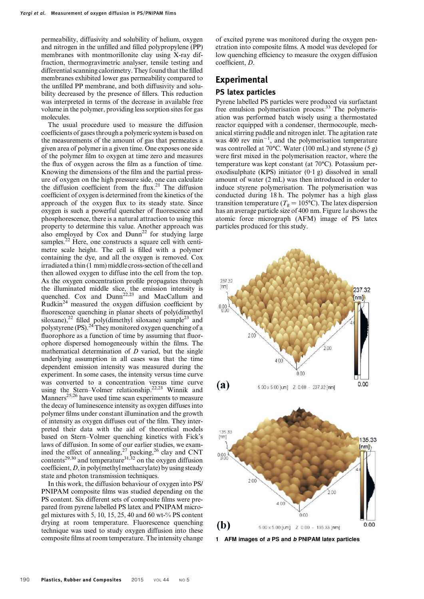permeability, diffusivity and solubility of helium, oxygen and nitrogen in the unfilled and filled polypropylene (PP) membranes with montmorillonite clay using X-ray diffraction, thermogravimetric analyser, tensile testing and differential scanning calorimetry. They found that the filled membranes exhibited lower gas permeability compared to the unfilled PP membrane, and both diffusivity and solubility decreased by the presence of fillers. This reduction was interpreted in terms of the decrease in available free volume in the polymer, providing less sorption sites for gas molecules.

The usual procedure used to measure the diffusion coefficients of gases through a polymeric system is based on the measurements of the amount of gas that permeates a given area of polymer in a given time. One exposes one side of the polymer film to oxygen at time zero and measures the flux of oxygen across the film as a function of time. Knowing the dimensions of the film and the partial pressure of oxygen on the high pressure side, one can calculate the diffusion coefficient from the flux.<sup>21</sup> The diffusion coefficient of oxygen is determined from the kinetics of the approach of the oxygen flux to its steady state. Since oxygen is such a powerful quencher of fluorescence and phosphorescence, there is a natural attraction to using this property to determine this value. Another approach was also employed by  $Cox$  and  $Dunn^{22}$  for studying large samples.<sup>22</sup> Here, one constructs a square cell with centimetre scale height. The cell is filled with a polymer containing the dye, and all the oxygen is removed. Cox irradiated a thin (1 mm) middle cross-section of the cell and then allowed oxygen to diffuse into the cell from the top. As the oxygen concentration profile propagates through the illuminated middle slice, the emission intensity is quenched. Cox and Dunn<sup>22,23</sup> and MacCallum and Rudkin<sup>24</sup> measured the oxygen diffusion coefficient by fluorescence quenching in planar sheets of poly(dimethyl siloxane),<sup>22</sup> filled poly(dimethyl siloxane) sample<sup>23</sup> and polystyrene (PS).<sup>24</sup>They monitored oxygen quenching of a fluorophore as a function of time by assuming that fluorophore dispersed homogeneously within the films. The mathematical determination of  $D$  varied, but the single underlying assumption in all cases was that the time dependent emission intensity was measured during the experiment. In some cases, the intensity versus time curve was converted to a concentration versus time curve using the Stern–Volmer relationship.<sup>22,23</sup> Winnik and Manners<sup>25,26</sup> have used time scan experiments to measure the decay of luminescence intensity as oxygen diffuses into polymer films under constant illumination and the growth of intensity as oxygen diffuses out of the film. They interpreted their data with the aid of theoretical models based on Stern–Volmer quenching kinetics with Fick's laws of diffusion. In some of our earlier studies, we examined the effect of annealing,<sup>27</sup> packing,<sup>26</sup> clay and CNT contents<sup>29,30</sup> and temperature<sup>31,32</sup> on the oxygen diffusion coefficient,  $D$ , in poly(methyl methacrylate) by using steady state and photon transmission techniques.

In this work, the diffusion behaviour of oxygen into PS/ PNIPAM composite films was studied depending on the PS content. Six different sets of composite films were prepared from pyrene labelled PS latex and PNIPAM microgel mixtures with 5, 10, 15, 25, 40 and 60 wt-% PS content drying at room temperature. Fluorescence quenching technique was used to study oxygen diffusion into these composite films at room temperature. The intensity change

of excited pyrene was monitored during the oxygen penetration into composite films. A model was developed for low quenching efficiency to measure the oxygen diffusion coefficient, D.

## Experimental

#### PS latex particles

Pyrene labelled PS particles were produced via surfactant free emulsion polymerisation process.33 The polymerisation was performed batch wisely using a thermostated reactor equipped with a condenser, thermocouple, mechanical stirring paddle and nitrogen inlet. The agitation rate was 400  $\text{rev min}^{-1}$ , and the polymerisation temperature was controlled at 70°C. Water (100 mL) and styrene (5 g) were first mixed in the polymerisation reactor, where the temperature was kept constant (at 70°C). Potassium peroxodisulphate (KPS) initiator  $(0.1 g)$  dissolved in small amount of water (2 mL) was then introduced in order to induce styrene polymerisation. The polymerisation was conducted during 18 h. The polymer has a high glass transition temperature ( $T_g = 105$ °C). The latex dispersion has an average particle size of 400 nm. Figure 1a shows the atomic force micrograph (AFM) image of PS latex particles produced for this study.



1 AFM images of a PS and b PNIPAM latex particles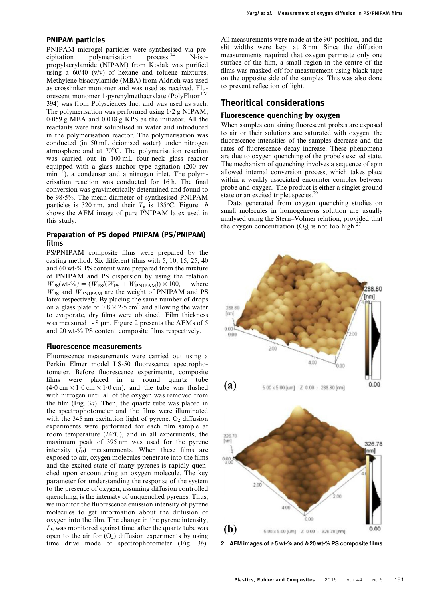#### PNIPAM particles

PNIPAM microgel particles were synthesised via precipitation polymerisation process. $34$  N-isopropylacrylamide (NIPAM) from Kodak was purified using a 60/40 (v/v) of hexane and toluene mixtures. Methylene bisacrylamide (MBA) from Aldrich was used as crosslinker monomer and was used as received. Fluorescent monomer 1-pyrenylmethacrylate (PolyFluorTM 394) was from Polysciences Inc. and was used as such. The polymerisation was performed using  $1.2$  g NIPAM,  $0.059$  g MBA and  $0.018$  g KPS as the initiator. All the reactants were first solubilised in water and introduced in the polymerisation reactor. The polymerisation was conducted (in 50 mL deionised water) under nitrogen atmosphere and at 70°C. The polymerisation reaction was carried out in 100 mL four-neck glass reactor equipped with a glass anchor type agitation (200 rev  $\min^{-1}$ ), a condenser and a nitrogen inlet. The polymerisation reaction was conducted for 16 h. The final conversion was gravimetrically determined and found to be 98.5%. The mean diameter of synthesised PNIPAM particles is 320 nm, and their  $T_g$  is 135°C. Figure 1b shows the AFM image of pure PNIPAM latex used in this study.

#### Preparation of PS doped PNIPAM (PS/PNIPAM) films

PS/PNIPAM composite films were prepared by the casting method. Six different films with 5, 10, 15, 25, 40 and 60 wt-% PS content were prepared from the mixture of PNIPAM and PS dispersion by using the relation  $W_{PS}(\text{wt-}^0\text{/}) = (W_{PS}/(W_{PS} + W_{PNIPAM})) \times 100,$  where  $W_{\text{PS}}$  and  $W_{\text{PNIPAM}}$  are the weight of PNIPAM and PS latex respectively. By placing the same number of drops on a glass plate of  $0.8 \times 2.5$  cm<sup>2</sup> and allowing the water to evaporate, dry films were obtained. Film thickness was measured  $\sim$ 8 µm. Figure 2 presents the AFMs of 5 and 20 wt-% PS content composite films respectively.

#### Fluorescence measurements

Fluorescence measurements were carried out using a Perkin Elmer model LS-50 fluorescence spectrophotometer. Before fluorescence experiments, composite films were placed in a round quartz tube  $(4.0 \text{ cm} \times 1.0 \text{ cm} \times 1.0 \text{ cm})$ , and the tube was flushed with nitrogen until all of the oxygen was removed from the film (Fig.  $3a$ ). Then, the quartz tube was placed in the spectrophotometer and the films were illuminated with the 345 nm excitation light of pyrene.  $O_2$  diffusion experiments were performed for each film sample at room temperature  $(24^{\circ}C)$ , and in all experiments, the maximum peak of 395 nm was used for the pyrene intensity  $(I_P)$  measurements. When these films are exposed to air, oxygen molecules penetrate into the films and the excited state of many pyrenes is rapidly quenched upon encountering an oxygen molecule. The key parameter for understanding the response of the system to the presence of oxygen, assuming diffusion controlled quenching, is the intensity of unquenched pyrenes. Thus, we monitor the fluorescence emission intensity of pyrene molecules to get information about the diffusion of oxygen into the film. The change in the pyrene intensity,  $I<sub>P</sub>$ , was monitored against time, after the quartz tube was open to the air for  $(O_2)$  diffusion experiments by using time drive mode of spectrophotometer (Fig. 3b).

All measurements were made at the  $90^\circ$  position, and the slit widths were kept at 8 nm. Since the diffusion measurements required that oxygen permeate only one surface of the film, a small region in the centre of the films was masked off for measurement using black tape on the opposite side of the samples. This was also done to prevent reflection of light.

### Theoritical considerations

#### Fluorescence quenching by oxygen

When samples containing fluorescent probes are exposed to air or their solutions are saturated with oxygen, the fluorescence intensities of the samples decrease and the rates of fluorescence decay increase. These phenomena are due to oxygen quenching of the probe's excited state. The mechanism of quenching involves a sequence of spin allowed internal conversion process, which takes place within a weakly associated encounter complex between probe and oxygen. The product is either a singlet ground state or an excited triplet species.<sup>29</sup>

Data generated from oxygen quenching studies on small molecules in homogeneous solution are usually analysed using the Stern–Volmer relation, provided that the oxygen concentration  $(O_2($  is not too high.<sup>27</sup>



2 AFM images of a 5 wt-% and b 20 wt-% PS composite films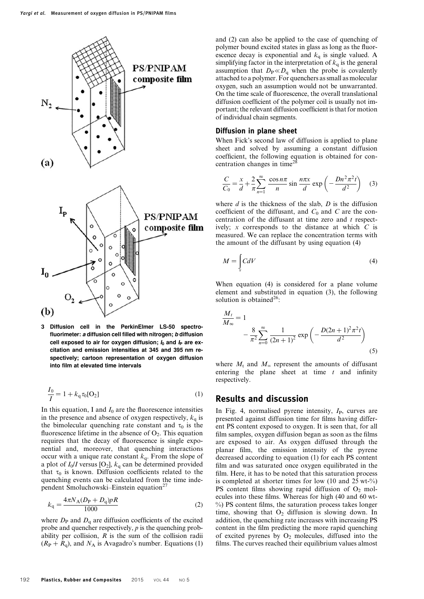

3 Diffusion cell in the PerkinElmer LS-50 spectrofluorimeter: a diffusion cell filled with nitrogen; b diffusion cell exposed to air for oxygen diffusion;  $I_0$  and  $I_P$  are excitation and emission intensities at 345 and 395 nm respectively; cartoon representation of oxygen diffusion into film at elevated time intervals

$$
\frac{I_0}{I} = 1 + k_q \tau_0 [O_2]
$$
 (1)

In this equation, I and  $I_0$  are the fluorescence intensities in the presence and absence of oxygen respectively,  $k_q$  is the bimolecular quenching rate constant and  $\tau_0$  is the fluorescence lifetime in the absence of  $O_2$ . This equation requires that the decay of fluorescence is single exponential and, moreover, that quenching interactions occur with a unique rate constant  $k<sub>q</sub>$ . From the slope of a plot of  $I_0/I$  versus [O<sub>2</sub>],  $k_q$  can be determined provided that  $\tau_0$  is known. Diffusion coefficients related to the quenching events can be calculated from the time independent Smoluchowski–Einstein equation $27$ 

$$
k_{\rm q} = \frac{4\pi N_{\rm A}(D_{\rm P} + D_{\rm q})pR}{1000} \tag{2}
$$

where  $D_{\rm P}$  and  $D_{\rm q}$  are diffusion coefficients of the excited probe and quencher respectively, p is the quenching probability per collision,  $R$  is the sum of the collision radii  $(R_P + R_q)$ , and  $N_A$  is Avagadro's number. Equations (1) and (2) can also be applied to the case of quenching of polymer bound excited states in glass as long as the fluorescence decay is exponential and  $k<sub>q</sub>$  is single valued. A simplifying factor in the interpretation of  $k<sub>q</sub>$  is the general assumption that  $D_P \ll D_q$  when the probe is covalently attached to a polymer. For quenchers as small as molecular oxygen, such an assumption would not be unwarranted. On the time scale of fluorescence, the overall translational diffusion coefficient of the polymer coil is usually not important; the relevant diffusion coefficient is that for motion of individual chain segments.

#### Diffusion in plane sheet

When Fick's second law of diffusion is applied to plane sheet and solved by assuming a constant diffusion coefficient, the following equation is obtained for con-<br> $\frac{1}{2}$ centration changes in time<sup>2</sup>

$$
\frac{C}{C_0} = \frac{x}{d} + \frac{2}{\pi} \sum_{n=1}^{\infty} \frac{\cos n\pi}{n} \sin \frac{n\pi x}{d} \exp\left(-\frac{Dn^2 \pi^2 t}{d^2}\right) \tag{3}
$$

where  $d$  is the thickness of the slab,  $D$  is the diffusion coefficient of the diffusant, and  $C_0$  and C are the concentration of the diffusant at time zero and  $t$  respectively; x corresponds to the distance at which  $C$  is measured. We can replace the concentration terms with the amount of the diffusant by using equation (4)

$$
M = \int_{V} C dV \tag{4}
$$

When equation (4) is considered for a plane volume element and substituted in equation (3), the following solution is obtained<sup>26</sup>:

$$
\frac{M_t}{M_{\infty}} = 1
$$
  
-  $\frac{8}{\pi^2} \sum_{n=0}^{\infty} \frac{1}{(2n+1)^2} \exp\left(-\frac{D(2n+1)^2 \pi^2 t}{d^2}\right)$  (5)

where  $M_t$  and  $M_\infty$  represent the amounts of diffusant entering the plane sheet at time  $t$  and infinity respectively.

#### Results and discussion

In Fig. 4, normalised pyrene intensity,  $I<sub>P</sub>$ , curves are presented against diffusion time for films having different PS content exposed to oxygen. It is seen that, for all film samples, oxygen diffusion began as soon as the films are exposed to air. As oxygen diffused through the planar film, the emission intensity of the pyrene decreased according to equation (1) for each PS content film and was saturated once oxygen equilibrated in the film. Here, it has to be noted that this saturation process is completed at shorter times for low  $(10 \text{ and } 25 \text{ wt} \cdot \%)$ PS content films showing rapid diffusion of  $O_2$  molecules into these films. Whereas for high (40 and 60 wt- %) PS content films, the saturation process takes longer time, showing that  $O_2$  diffusion is slowing down. In addition, the quenching rate increases with increasing PS content in the film predicting the more rapid quenching of excited pyrenes by  $O_2$  molecules, diffused into the films. The curves reached their equilibrium values almost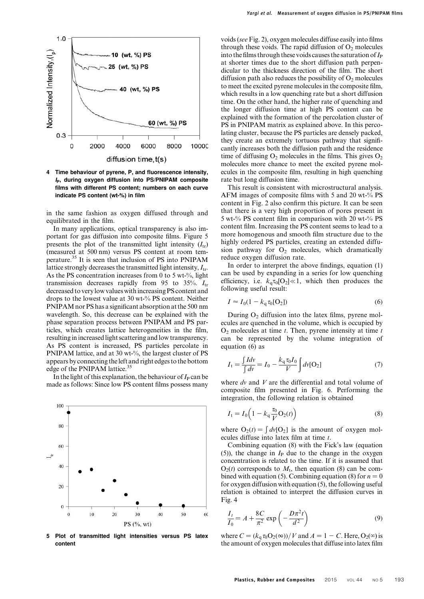



in the same fashion as oxygen diffused through and equilibrated in the film.

In many applications, optical transparency is also important for gas diffusion into composite films. Figure 5 presents the plot of the transmitted light intensity  $(I_{tr})$ (measured at 500 nm) versus PS content at room temperature.35 It is seen that inclusion of PS into PNIPAM lattice strongly decreases the transmitted light intensity,  $I_{tr}$ . As the PS concentration increases from 0 to 5 wt-%, light transmission decreases rapidly from 95 to 35%.  $I_{tr}$ decreased to verylow values withincreasing PS content and drops to the lowest value at 30 wt-% PS content. Neither PNIPAM nor PS has a significant absorption at the 500 nm wavelength. So, this decrease can be explained with the phase separation process between PNIPAM and PS particles, which creates lattice heterogeneities in the film, resultingin increased light scattering and low transparency. As PS content is increased, PS particles percolate in PNIPAM lattice, and at 30 wt-%, the largest cluster of PS appears by connecting the left and right edges to the bottom edge of the PNIPAM lattice.<sup>35</sup>

In the light of this explanation, the behaviour of  $I_P$  can be made as follows: Since low PS content films possess many



5 Plot of transmitted light intensities versus PS latex content

voids (see Fig. 2), oxygen molecules diffuse easily into films through these voids. The rapid diffusion of  $O_2$  molecules into the films through these voids causes the saturation of  $I_P$ at shorter times due to the short diffusion path perpendicular to the thickness direction of the film. The short diffusion path also reduces the possibility of  $O_2$  molecules to meet the excited pyrene molecules in the composite film, which results in a low quenching rate but a short diffusion time. On the other hand, the higher rate of quenching and the longer diffusion time at high PS content can be explained with the formation of the percolation cluster of PS in PNIPAM matrix as explained above. In this percolating cluster, because the PS particles are densely packed, they create an extremely tortuous pathway that significantly increases both the diffusion path and the residence time of diffusing  $O_2$  molecules in the films. This gives  $O_2$ molecules more chance to meet the excited pyrene molecules in the composite film, resulting in high quenching rate but long diffusion time.

This result is consistent with microstructural analysis. AFM images of composite films with 5 and 20 wt-% PS content in Fig. 2 also confirm this picture. It can be seen that there is a very high proportion of pores present in 5 wt-% PS content film in comparison with 20 wt-% PS content film. Increasing the PS content seems to lead to a more homogenous and smooth film structure due to the highly ordered PS particles, creating an extended diffusion pathway for  $O_2$  molecules, which dramatically reduce oxygen diffusion rate.

In order to interpret the above findings, equation (1) can be used by expanding in a series for low quenching efficiency, i.e.  $k_q \tau_0[O_2] \ll 1$ , which then produces the following useful result:

$$
I \approx I_0(1 - k_q \tau_0[\mathcal{O}_2]) \tag{6}
$$

During  $O_2$  diffusion into the latex films, pyrene molecules are quenched in the volume, which is occupied by  $O_2$  molecules at time t. Then, pyrene intensity at time t can be represented by the volume integration of equation (6) as

$$
I_{t} = \frac{\int Idv}{\int dv} = I_{0} - \frac{k_{q} \tau_{0} I_{0}}{V} \int dv [\mathbf{O}_{2}] \tag{7}
$$

where  $dv$  and  $V$  are the differential and total volume of composite film presented in Fig. 6. Performing the integration, the following relation is obtained

$$
I_{t} = I_{0} \left( 1 - k_{q} \frac{\tau_{0}}{V} O_{2}(t) \right)
$$
 (8)

where  $O_2(t) = \int dv [O_2]$  is the amount of oxygen molecules diffuse into latex film at time t.

Combining equation (8) with the Fick's law (equation (5)), the change in  $I_P$  due to the change in the oxygen concentration is related to the time. If it is assumed that  $O_2(t)$  corresponds to  $M_t$ , then equation (8) can be combined with equation (5). Combining equation (8) for  $n = 0$ for oxygen diffusion with equation (5), the following useful relation is obtained to interpret the diffusion curves in Fig. 4

$$
\frac{I_t}{I_0} = A + \frac{8C}{\pi^2} \exp\left(-\frac{D\pi^2 t}{d^2}\right) \tag{9}
$$

where  $C = (k_a \tau_0 O_2(\infty))/V$  and  $A = 1 - C$ . Here,  $O_2(\infty)$  is the amount of oxygen molecules that diffuse into latex film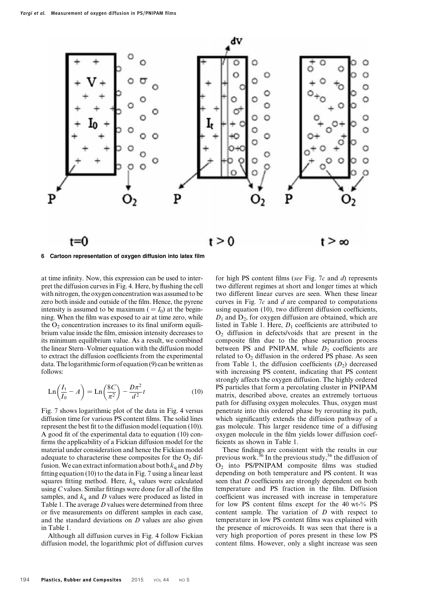

6 Cartoon representation of oxygen diffusion into latex film

at time infinity. Now, this expression can be used to interpret the diffusion curves in Fig. 4. Here, by flushing the cell with nitrogen, the oxygen concentration was assumed to be zero both inside and outside of the film. Hence, the pyrene intensity is assumed to be maximum ( $= I_0$ ) at the beginning. When the film was exposed to air at time zero, while the  $O<sub>2</sub>$  concentration increases to its final uniform equilibrium value inside the film, emission intensity decreases to its minimum equilibrium value. As a result, we combined the linear Stern–Volmer equation with the diffusion model to extract the diffusion coefficients from the experimental data. The logarithmic form of equation (9) can be written as follows:

$$
\operatorname{Ln}\left(\frac{I_t}{I_0} - A\right) = \operatorname{Ln}\left(\frac{8C}{\pi^2}\right) - \frac{D\pi^2}{d^2}t\tag{10}
$$

Fig. 7 shows logarithmic plot of the data in Fig. 4 versus diffusion time for various PS content films. The solid lines represent the best fit to the diffusion model (equation (10)). A good fit of the experimental data to equation (10) confirms the applicability of a Fickian diffusion model for the material under consideration and hence the Fickian model adequate to characterise these composites for the  $O_2$  diffusion. We can extract information about both  $k_q$  and D by fitting equation (10) to the data in Fig. 7 using a linear least squares fitting method. Here,  $k_q$  values were calculated using C values. Similar fittings were done for all of the film samples, and  $k_q$  and D values were produced as listed in [Table 1](#page-7-0). The average *D* values were determined from three or five measurements on different samples in each case, and the standard deviations on D values are also given in [Table 1](#page-7-0).

Although all diffusion curves in Fig. 4 follow Fickian diffusion model, the logarithmic plot of diffusion curves for high PS content films (see Fig.  $7c$  and  $d$ ) represents two different regimes at short and longer times at which two different linear curves are seen. When these linear curves in Fig.  $7c$  and  $d$  are compared to computations using equation (10), two different diffusion coefficients,  $D_1$  and  $D_2$ , for oxygen diffusion are obtained, which are listed in [Table 1](#page-7-0). Here,  $D_1$  coefficients are attributed to  $O<sub>2</sub>$  diffusion in defects/voids that are present in the composite film due to the phase separation process between PS and PNIPAM, while  $D_2$  coefficients are related to  $O_2$  diffusion in the ordered PS phase. As seen from [Table 1](#page-7-0), the diffusion coefficients  $(D_2)$  decreased with increasing PS content, indicating that PS content strongly affects the oxygen diffusion. The highly ordered PS particles that form a percolating cluster in PNIPAM matrix, described above, creates an extremely tortuous path for diffusing oxygen molecules. Thus, oxygen must penetrate into this ordered phase by rerouting its path, which significantly extends the diffusion pathway of a gas molecule. This larger residence time of a diffusing oxygen molecule in the film yields lower diffusion coefficients as shown in [Table 1.](#page-7-0)

These findings are consistent with the results in our previous work.<sup>36</sup> In the previous study,<sup>36</sup> the diffusion of O2 into PS/PNIPAM composite films was studied depending on both temperature and PS content. It was seen that D coefficients are strongly dependent on both temperature and PS fraction in the film. Diffusion coefficient was increased with increase in temperature for low PS content films except for the 40 wt-% PS content sample. The variation of D with respect to temperature in low PS content films was explained with the presence of microvoids. It was seen that there is a very high proportion of pores present in these low PS content films. However, only a slight increase was seen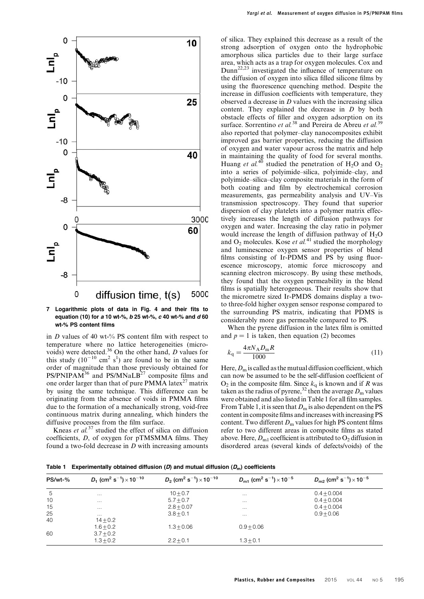<span id="page-7-0"></span>

7 Logarithmic plots of data in Fig. 4 and their fits to equation (10) for a 10 wt-%, b 25 wt-%, c 40 wt-% and  $d 60$ wt-% PS content films

in  $D$  values of 40 wt-% PS content film with respect to temperature where no lattice heterogeneities (microvoids) were detected.<sup>36</sup> On the other hand, D values for this study  $(10^{-10} \text{ cm}^2 \text{ s}^1)$  are found to be in the same order of magnitude than those previously obtained for  $PS/PNIPAM<sup>36</sup>$  and  $PS/MNaLB<sup>27</sup>$  composite films and one order larger than that of pure PMMA latex $27$  matrix by using the same technique. This difference can be originating from the absence of voids in PMMA films due to the formation of a mechanically strong, void-free continuous matrix during annealing, which hinders the diffusive processes from the film surface.

Kneas  $et al.<sup>37</sup>$  studied the effect of silica on diffusion coefficients, D, of oxygen for pTMSMMA films. They found a two-fold decrease in  $D$  with increasing amounts of silica. They explained this decrease as a result of the strong adsorption of oxygen onto the hydrophobic amorphous silica particles due to their large surface area, which acts as a trap for oxygen molecules. Cox and Dunn22,23 investigated the influence of temperature on the diffusion of oxygen into silica filled silicone films by using the fluorescence quenching method. Despite the increase in diffusion coefficients with temperature, they observed a decrease in  $D$  values with the increasing silica content. They explained the decrease in D by both obstacle effects of filler and oxygen adsorption on its surface. Sorrentino et al.<sup>38</sup> and Pereira de Abreu et al.<sup>39</sup> also reported that polymer–clay nanocomposites exhibit improved gas barrier properties, reducing the diffusion of oxygen and water vapour across the matrix and help in maintaining the quality of food for several months. Huang et al.<sup>40</sup> studied the penetration of H<sub>2</sub>O and O<sub>2</sub> into a series of polyimide–silica, polyimide–clay, and polyimide–silica–clay composite materials in the form of both coating and film by electrochemical corrosion measurements, gas permeability analysis and UV–Vis transmission spectroscopy. They found that superior dispersion of clay platelets into a polymer matrix effectively increases the length of diffusion pathways for oxygen and water. Increasing the clay ratio in polymer would increase the length of diffusion pathway of  $H_2O$ and  $O_2$  molecules. Kose *et al.*<sup>41</sup> studied the morphology and luminescence oxygen sensor properties of blend films consisting of Ir-PDMS and PS by using fluorescence microscopy, atomic force microscopy and scanning electron microscopy. By using these methods, they found that the oxygen permeability in the blend films is spatially heterogeneous. Their results show that the micrometre sized Ir-PMDS domains display a twoto three-fold higher oxygen sensor response compared to the surrounding PS matrix, indicating that PDMS is considerably more gas permeable compared to PS.

When the pyrene diffusion in the latex film is omitted and  $p = 1$  is taken, then equation (2) becomes

$$
k_{\rm q} = \frac{4\pi N_{\rm A} D_{\rm m} R}{1000} \tag{11}
$$

Here,  $D<sub>m</sub>$  is called as the mutual diffusion coefficient, which can now be assumed to be the self-diffusion coefficient of  $O_2$  in the composite film. Since  $k_q$  is known and if R was taken as the radius of pyrene,<sup>32</sup> then the average  $D<sub>m</sub>$  values were obtained and also listed in Table 1 for all film samples. From Table 1, it is seen that  $D<sub>m</sub>$  is also dependent on the PS content in composite films and increases with increasing PS content. Two different  $D<sub>m</sub>$  values for high PS content films refer to two different areas in composite films as stated above. Here,  $D_{m1}$  coefficient is attributed to  $O_2$  diffusion in disordered areas (several kinds of defects/voids) of the

| PS/wt-% | $D_1$ (cm <sup>2</sup> s <sup>-1</sup> ) $\times$ 10 <sup>-10</sup> | $D_2$ (cm <sup>2</sup> s <sup>-1</sup> ) $\times$ 10 <sup>-10</sup> | $D_{m1}$ (cm <sup>2</sup> s <sup>-1</sup> ) × 10 <sup>-5</sup> | $D_{\rm m2}$ (cm <sup>2</sup> s <sup>-1</sup> ) $\times$ 10 <sup>-5</sup> |
|---------|---------------------------------------------------------------------|---------------------------------------------------------------------|----------------------------------------------------------------|---------------------------------------------------------------------------|
| -5      | $\cdots$                                                            | $10 + 0.7$                                                          | $\cdots$                                                       | $0.4 + 0.004$                                                             |
| 10      | $\cdots$                                                            | $5.7 + 0.7$                                                         | $\cdots$                                                       | $0.4 \pm 0.004$                                                           |
| 15      | $\cdots$                                                            | $2.8 + 0.07$                                                        | $\cdots$                                                       | $0.4 + 0.004$                                                             |
| 25      | $\cdots$                                                            | $3.8 + 0.1$                                                         | $\cdots$                                                       | $0.9 + 0.06$                                                              |
| 40      | $14 + 0.2$                                                          |                                                                     |                                                                |                                                                           |
|         | $1.6 + 0.2$                                                         | $1.3 + 0.06$                                                        | $0.9 + 0.06$                                                   |                                                                           |
| 60      | $3.7 + 0.2$                                                         |                                                                     |                                                                |                                                                           |
|         | $1.3 \pm 0.2$                                                       | $2.2 + 0.1$                                                         | $1.3 + 0.1$                                                    |                                                                           |

Table 1 Experimentally obtained diffusion (D) and mutual diffusion  $(D_m)$  coefficients